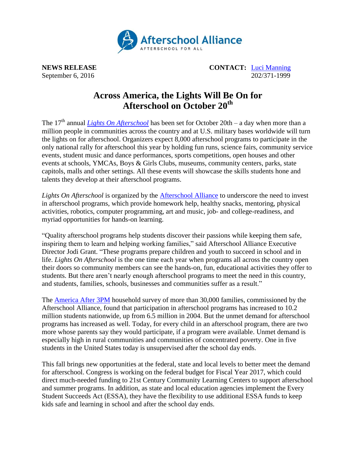

**NEWS RELEASE CONTACT:** [Luci Manning](mailto:luci@prsolutionsdc.com) September 6, 2016 202/371-1999

## **Across America, the Lights Will Be On for Afterschool on October 20 th**

The 17<sup>th</sup> annual *[Lights On Afterschool](http://www.afterschoolalliance.org/loa.cfm)* has been set for October 20th – a day when more than a million people in communities across the country and at U.S. military bases worldwide will turn the lights on for afterschool. Organizers expect 8,000 afterschool programs to participate in the only national rally for afterschool this year by holding fun runs, science fairs, community service events, student music and dance performances, sports competitions, open houses and other events at schools, YMCAs, Boys & Girls Clubs, museums, community centers, parks, state capitols, malls and other settings. All these events will showcase the skills students hone and talents they develop at their afterschool programs.

*Lights On Afterschool* is organized by the [Afterschool Alliance](http://www.afterschoolalliance.org/) to underscore the need to invest in afterschool programs, which provide homework help, healthy snacks, mentoring, physical activities, robotics, computer programming, art and music, job- and college-readiness, and myriad opportunities for hands-on learning.

"Quality afterschool programs help students discover their passions while keeping them safe, inspiring them to learn and helping working families," said Afterschool Alliance Executive Director Jodi Grant. "These programs prepare children and youth to succeed in school and in life. *Lights On Afterschool* is the one time each year when programs all across the country open their doors so community members can see the hands-on, fun, educational activities they offer to students. But there aren't nearly enough afterschool programs to meet the need in this country, and students, families, schools, businesses and communities suffer as a result."

The [America After 3PM](http://www.afterschoolalliance.org/AA3PM/) household survey of more than 30,000 families, commissioned by the Afterschool Alliance, found that participation in afterschool programs has increased to 10.2 million students nationwide, up from 6.5 million in 2004. But the unmet demand for afterschool programs has increased as well. Today, for every child in an afterschool program, there are two more whose parents say they would participate, if a program were available. Unmet demand is especially high in rural communities and communities of concentrated poverty. One in five students in the United States today is unsupervised after the school day ends.

This fall brings new opportunities at the federal, state and local levels to better meet the demand for afterschool. Congress is working on the federal budget for Fiscal Year 2017, which could direct much-needed funding to 21st Century Community Learning Centers to support afterschool and summer programs. In addition, as state and local education agencies implement the Every Student Succeeds Act (ESSA), they have the flexibility to use additional ESSA funds to keep kids safe and learning in school and after the school day ends.